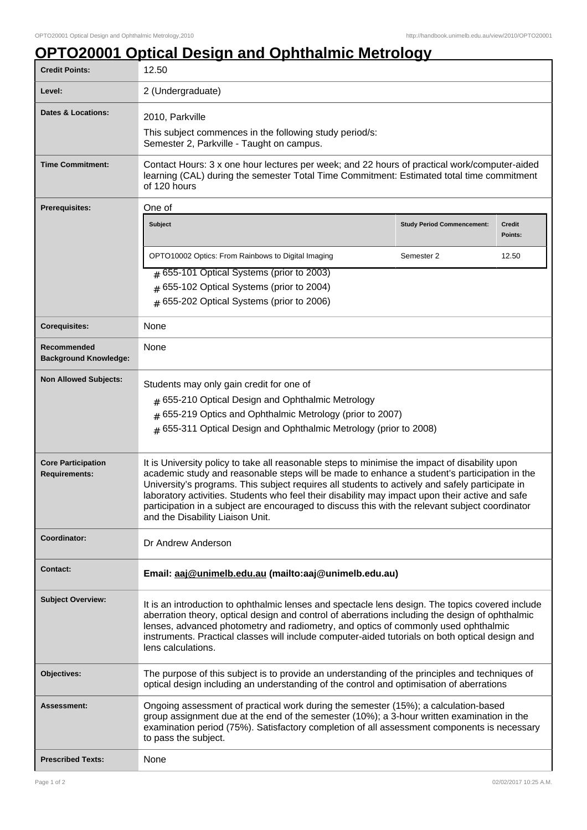## **OPTO20001 Optical Design and Ophthalmic Metrology**

| <b>Credit Points:</b>                             | 12.50                                                                                                                                                                                                                                                                                                                                                                                                              |                                   |                   |
|---------------------------------------------------|--------------------------------------------------------------------------------------------------------------------------------------------------------------------------------------------------------------------------------------------------------------------------------------------------------------------------------------------------------------------------------------------------------------------|-----------------------------------|-------------------|
| Level:                                            | 2 (Undergraduate)                                                                                                                                                                                                                                                                                                                                                                                                  |                                   |                   |
| <b>Dates &amp; Locations:</b>                     | 2010, Parkville                                                                                                                                                                                                                                                                                                                                                                                                    |                                   |                   |
|                                                   | This subject commences in the following study period/s:<br>Semester 2, Parkville - Taught on campus.                                                                                                                                                                                                                                                                                                               |                                   |                   |
| <b>Time Commitment:</b>                           | Contact Hours: 3 x one hour lectures per week; and 22 hours of practical work/computer-aided<br>learning (CAL) during the semester Total Time Commitment: Estimated total time commitment<br>of 120 hours                                                                                                                                                                                                          |                                   |                   |
| <b>Prerequisites:</b>                             | One of                                                                                                                                                                                                                                                                                                                                                                                                             |                                   |                   |
|                                                   | <b>Subject</b>                                                                                                                                                                                                                                                                                                                                                                                                     | <b>Study Period Commencement:</b> | Credit<br>Points: |
|                                                   | OPTO10002 Optics: From Rainbows to Digital Imaging                                                                                                                                                                                                                                                                                                                                                                 | Semester 2                        | 12.50             |
|                                                   | $\#$ 655-101 Optical Systems (prior to 2003)                                                                                                                                                                                                                                                                                                                                                                       |                                   |                   |
|                                                   | $#$ 655-102 Optical Systems (prior to 2004)<br>$#$ 655-202 Optical Systems (prior to 2006)                                                                                                                                                                                                                                                                                                                         |                                   |                   |
|                                                   |                                                                                                                                                                                                                                                                                                                                                                                                                    |                                   |                   |
| <b>Corequisites:</b>                              | None                                                                                                                                                                                                                                                                                                                                                                                                               |                                   |                   |
| Recommended<br><b>Background Knowledge:</b>       | None                                                                                                                                                                                                                                                                                                                                                                                                               |                                   |                   |
| <b>Non Allowed Subjects:</b>                      | Students may only gain credit for one of                                                                                                                                                                                                                                                                                                                                                                           |                                   |                   |
|                                                   | # 655-210 Optical Design and Ophthalmic Metrology                                                                                                                                                                                                                                                                                                                                                                  |                                   |                   |
|                                                   | # 655-219 Optics and Ophthalmic Metrology (prior to 2007)                                                                                                                                                                                                                                                                                                                                                          |                                   |                   |
|                                                   | # 655-311 Optical Design and Ophthalmic Metrology (prior to 2008)                                                                                                                                                                                                                                                                                                                                                  |                                   |                   |
| <b>Core Participation</b><br><b>Requirements:</b> | It is University policy to take all reasonable steps to minimise the impact of disability upon<br>academic study and reasonable steps will be made to enhance a student's participation in the                                                                                                                                                                                                                     |                                   |                   |
|                                                   | University's programs. This subject requires all students to actively and safely participate in<br>laboratory activities. Students who feel their disability may impact upon their active and safe<br>participation in a subject are encouraged to discuss this with the relevant subject coordinator                                                                                                              |                                   |                   |
|                                                   | and the Disability Liaison Unit.                                                                                                                                                                                                                                                                                                                                                                                   |                                   |                   |
| Coordinator:                                      | Dr Andrew Anderson                                                                                                                                                                                                                                                                                                                                                                                                 |                                   |                   |
| <b>Contact:</b>                                   | Email: aaj@unimelb.edu.au (mailto:aaj@unimelb.edu.au)                                                                                                                                                                                                                                                                                                                                                              |                                   |                   |
| <b>Subject Overview:</b>                          | It is an introduction to ophthalmic lenses and spectacle lens design. The topics covered include<br>aberration theory, optical design and control of aberrations including the design of ophthalmic<br>lenses, advanced photometry and radiometry, and optics of commonly used ophthalmic<br>instruments. Practical classes will include computer-aided tutorials on both optical design and<br>lens calculations. |                                   |                   |
| Objectives:                                       | The purpose of this subject is to provide an understanding of the principles and techniques of<br>optical design including an understanding of the control and optimisation of aberrations                                                                                                                                                                                                                         |                                   |                   |
| Assessment:                                       | Ongoing assessment of practical work during the semester (15%); a calculation-based<br>group assignment due at the end of the semester (10%); a 3-hour written examination in the<br>examination period (75%). Satisfactory completion of all assessment components is necessary<br>to pass the subject.                                                                                                           |                                   |                   |
| <b>Prescribed Texts:</b>                          | None                                                                                                                                                                                                                                                                                                                                                                                                               |                                   |                   |